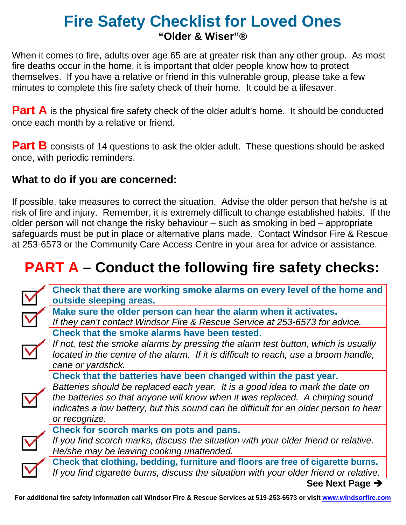## **Fire Safety Checklist for Loved Ones "Older & Wiser"®**

When it comes to fire, adults over age 65 are at greater risk than any other group. As most fire deaths occur in the home, it is important that older people know how to protect themselves. If you have a relative or friend in this vulnerable group, please take a few minutes to complete this fire safety check of their home. It could be a lifesaver.

**Part A** is the physical fire safety check of the older adult's home. It should be conducted once each month by a relative or friend.

**Part B** consists of 14 questions to ask the older adult. These questions should be asked once, with periodic reminders.

## **What to do if you are concerned:**

If possible, take measures to correct the situation. Advise the older person that he/she is at risk of fire and injury. Remember, it is extremely difficult to change established habits. If the older person will not change the risky behaviour – such as smoking in bed – appropriate safeguards must be put in place or alternative plans made. Contact Windsor Fire & Rescue at 253-6573 or the Community Care Access Centre in your area for advice or assistance.

## **PART A – Conduct the following fire safety checks:**



**For additional fire safety information call Windsor Fire & Rescue Services at 519-253-6573 or visit [www.windsorfire.com](http://www.windsorfire.com/)**